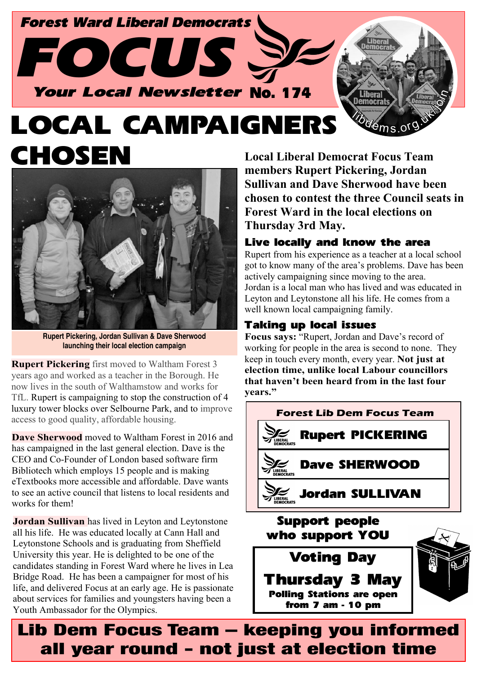

# **LOCAL CAMPAIGNE** CHOSE



**Rupert Pickering, Jordan Sullivan & Dave Sherwood launching their local election campaign**

**Rupert Pickering** first moved to Waltham Forest 3 years ago and worked as a teacher in the Borough. He now lives in the south of Walthamstow and works for TfL. Rupert is campaigning to stop the construction of 4 luxury tower blocks over Selbourne Park, and to improve access to good quality, affordable housing.

**Dave Sherwood** moved to Waltham Forest in 2016 and has campaigned in the last general election. Dave is the CEO and Co-Founder of London based software firm Bibliotech which employs 15 people and is making eTextbooks more accessible and affordable. Dave wants to see an active council that listens to local residents and works for them!

**Jordan Sullivan** has lived in Leyton and Leytonstone all his life. He was educated locally at Cann Hall and Leytonstone Schools and is graduating from Sheffield University this year. He is delighted to be one of the candidates standing in Forest Ward where he lives in Lea Bridge Road. He has been a campaigner for most of his life, and delivered Focus at an early age. He is passionate about services for families and youngsters having been a Youth Ambassador for the Olympics.

**Local Liberal Democrat Focus Team members Rupert Pickering, Jordan Sullivan and Dave Sherwood have been chosen to contest the three Council seats in Forest Ward in the local elections on Thursday 3rd May.**

#### Live locally and know the area

Rupert from his experience as a teacher at a local school got to know many of the area's problems. Dave has been actively campaigning since moving to the area. Jordan is a local man who has lived and was educated in Leyton and Leytonstone all his life. He comes from a well known local campaigning family.

#### Taking up local issues

**Focus says:** "Rupert, Jordan and Dave's record of working for people in the area is second to none. They keep in touch every month, every year. **Not just at election time, unlike local Labour councillors that haven't been heard from in the last four years."**



Lib Dem Focus Team – keeping you informed all year round - not just at election time